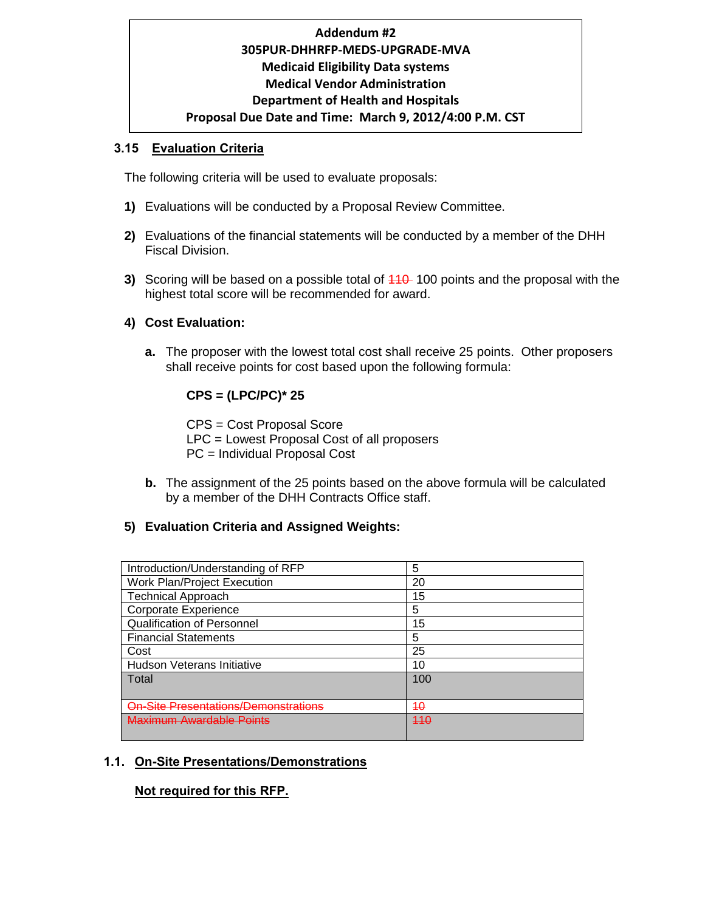# **Addendum #2 305PUR-DHHRFP-MEDS-UPGRADE-MVA Medicaid Eligibility Data systems Medical Vendor Administration Department of Health and Hospitals Proposal Due Date and Time: March 9, 2012/4:00 P.M. CST**

### **3.15 Evaluation Criteria**

The following criteria will be used to evaluate proposals:

- **1)** Evaluations will be conducted by a Proposal Review Committee.
- **2)** Evaluations of the financial statements will be conducted by a member of the DHH Fiscal Division.
- **3)** Scoring will be based on a possible total of  $110$ -100 points and the proposal with the highest total score will be recommended for award.

### **4) Cost Evaluation:**

**a.** The proposer with the lowest total cost shall receive 25 points. Other proposers shall receive points for cost based upon the following formula:

# **CPS = (LPC/PC)\* 25**

CPS = Cost Proposal Score LPC = Lowest Proposal Cost of all proposers PC = Individual Proposal Cost

**b.** The assignment of the 25 points based on the above formula will be calculated by a member of the DHH Contracts Office staff.

#### **5) Evaluation Criteria and Assigned Weights:**

| Introduction/Understanding of RFP    | 5   |
|--------------------------------------|-----|
| <b>Work Plan/Project Execution</b>   | 20  |
| <b>Technical Approach</b>            | 15  |
| Corporate Experience                 | 5   |
| Qualification of Personnel           | 15  |
| <b>Financial Statements</b>          | 5   |
| Cost                                 | 25  |
| <b>Hudson Veterans Initiative</b>    | 10  |
| Total                                | 100 |
|                                      |     |
| On-Site Presentations/Demonstrations | 40  |
| Javimum Awardahlo Dointe             | 440 |
|                                      |     |

## **1.1. On-Site Presentations/Demonstrations**

## **Not required for this RFP.**